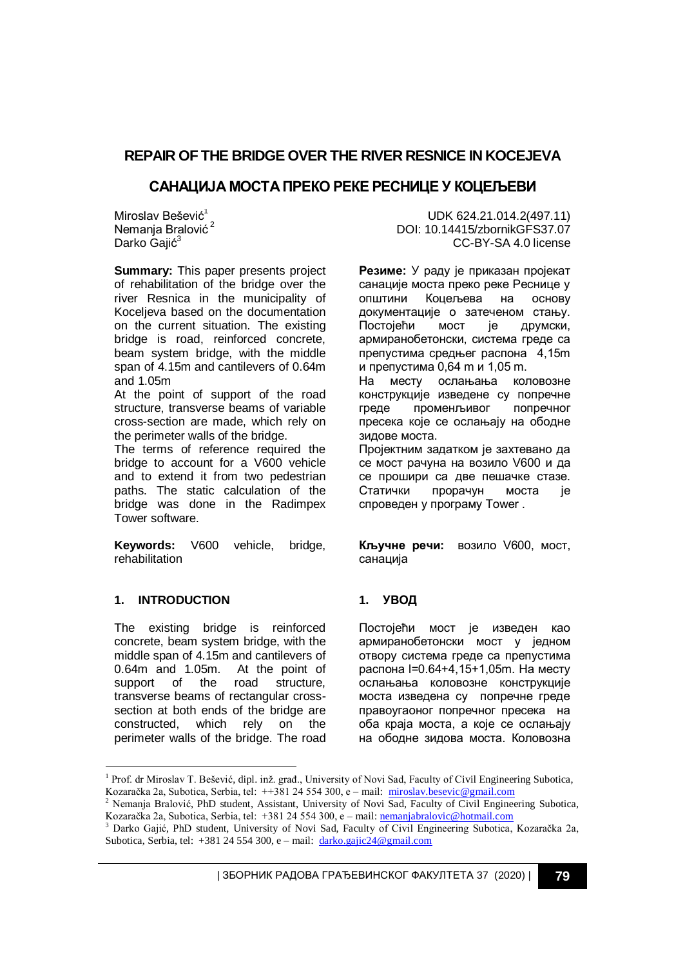# **REPAIR OF THE BRIDGE OVER THE RIVER RESNICE IN KOCEJEVA**

# **САНАЦИЈА МОСТА ПРЕКО РЕКЕ РЕСНИЦЕ У КОЦЕЉЕВИ**

Miroslav Bešević<sup>1</sup> Nemanja Bralović<sup>2</sup> Darko Gajić<sup>3</sup>

**Summary:** This paper presents project of rehabilitation of the bridge over the river Resnica in the municipality of Koceljeva based on the documentation on the current situation. The existing bridge is road, reinforced concrete, beam system bridge, with the middle span of 4.15m and cantilevers of 0.64m and 1.05m

At the point of support of the road structure, transverse beams of variable cross-section are made, which rely on the perimeter walls of the bridge.

The terms of reference required the bridge to account for a V600 vehicle and to extend it from two pedestrian paths. The static calculation of the bridge was done in the Radimpex Tower software.

**Keywords:** V600 vehicle, bridge, rehabilitation

## **1. INTRODUCTION**

-

The existing bridge is reinforced concrete, beam system bridge, with the middle span of 4.15m and cantilevers of 0.64m and 1.05m. At the point of support of the road structure. transverse beams of rectangular crosssection at both ends of the bridge are constructed, which rely on the perimeter walls of the bridge. The road

UDK 624.21.014.2(497.11) DOI: 10.14415/zbornikGFS37.07 CC-BY-SA 4.0 license

**Резиме:** У раду је приказан пројекат санације моста преко реке Реснице у општини Коцељева на основу документације о затеченом стању. Постојећи мост је друмски, армиранобетонски, система греде са препустима средњег распона 4,15m и препустима 0,64 m и 1,05 m.

На месту ослањања коловозне конструкције изведене су попречне греде променљивог попречног пресека које се ослањају на ободне зидове моста.

Пројектним задатком је захтевано да се мост рачуна на возило V600 и да се прошири са две пешачке стазе. Статички прорачун моста је спроведен у програму Tower .

**Кључне речи:** возило V600, мост, санација

## **1. УВОД**

Постојећи мост је изведен као армиранобетонски мост у једном отвору система греде са препустима распона l=0.64+4,15+1,05m. На месту ослањања коловозне конструкције моста изведена су попречне греде правоугаоног попречног пресека на оба краја моста, а које се ослањају на ободне зидова моста. Коловозна

| ЗБОРНИК РАДОВА ГРАЂЕВИНСКОГ ФАКУЛТЕТА 37 (2020) | **79**

<sup>&</sup>lt;sup>1</sup> Prof. dr Miroslav T. Bešević, dipl. inž. građ., University of Novi Sad, Faculty of Civil Engineering Subotica, Kozaračka 2a, Subotica, Serbia, tel: ++381 24 554 300, e – mail: [miroslav.besevic@gm](mailto:miroslav.besevic@g)ail.com

<sup>&</sup>lt;sup>2</sup> Nemanja Bralović, PhD student, Assistant, University of Novi Sad, Faculty of Civil Engineering Subotica, Kozaračka 2a, Subotica, Serbia, tel: +381 24 554 300, e – mail[: nemanjabralovic@hotmail.com](nemanjabralovic@hotmail.com)

<sup>3</sup> Darko Gajić, PhD student, University of Novi Sad, Faculty of Civil Engineering Subotica, Kozaračka 2a, Subotica, Serbia, tel: +381 24 554 300, e – mail: [darko.gajic24@gmail.com](file:///C:/Users/Gajic/Desktop/15.%20Diajgnostika%20stanja%2029.3.2020/2.%20Darko/darko.gajic24@gmail.com)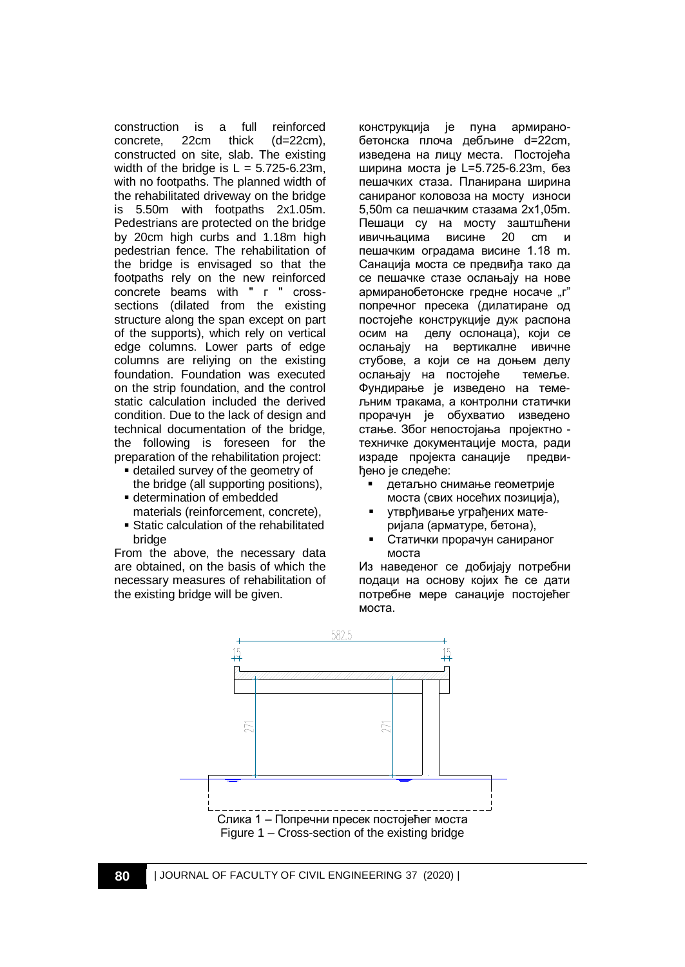construction is a full reinforced concrete, 22cm thick (d=22cm), constructed on site, slab. The existing width of the bridge is  $L = 5.725 - 6.23m$ , with no footpaths. The planned width of the rehabilitated driveway on the bridge is 5.50m with footpaths 2x1.05m. Pedestrians are protected on the bridge by 20cm high curbs and 1.18m high pedestrian fence. The rehabilitation of the bridge is envisaged so that the footpaths rely on the new reinforced concrete beams with " г " crosssections (dilated from the existing structure along the span except on part of the supports), which rely on vertical edge columns. Lower parts of edge columns are reliying on the existing foundation. Foundation was executed on the strip foundation, and the control static calculation included the derived condition. Due to the lack of design and technical documentation of the bridge, the following is foreseen for the preparation of the rehabilitation project:

- detailed survey of the geometry of the bridge (all supporting positions),
- determination of embedded
- materials (reinforcement, concrete),
- Static calculation of the rehabilitated bridge

From the above, the necessary data are obtained, on the basis of which the necessary measures of rehabilitation of the existing bridge will be given.

конструкција је пуна армиранобетонска плоча дебљине d=22cm, изведена на лицу места. Постојећа ширина моста је L=5.725-6.23m, без пешачких стаза. Планирана ширина санираног коловоза на мосту износи 5,50m са пешачким стазама 2x1,05m. Пешаци су на мосту заштшћени ивичњацима висине 20 cm и пешачким оградама висине 1.18 m. Санација моста се предвиђа тако да се пешачке стазе ослањају на нове армиранобетонске гредне носаче "г" попречног пресека (дилатиране од постојеће конструкције дуж распона осим на делу ослонаца), који се ослањају на вертикалне ивичне стубове, а који се на доњем делу ослањају на постојеће темеље. Фундирање је изведено на темељним тракама, а контролни статички прорачун је обухватио изведено стање. Због непостојања пројектно техничке документације моста, ради израде пројекта санације предвиђено је следеће:

- детаљно снимање геометрије моста (свих носећих позиција),
- утврђивање уграђених материјала (арматуре, бетона),
- Статички прорачун санираног моста

Из наведеног се добијају потребни подаци на основу којих ће се дати потребне мере санације постојећег моста.

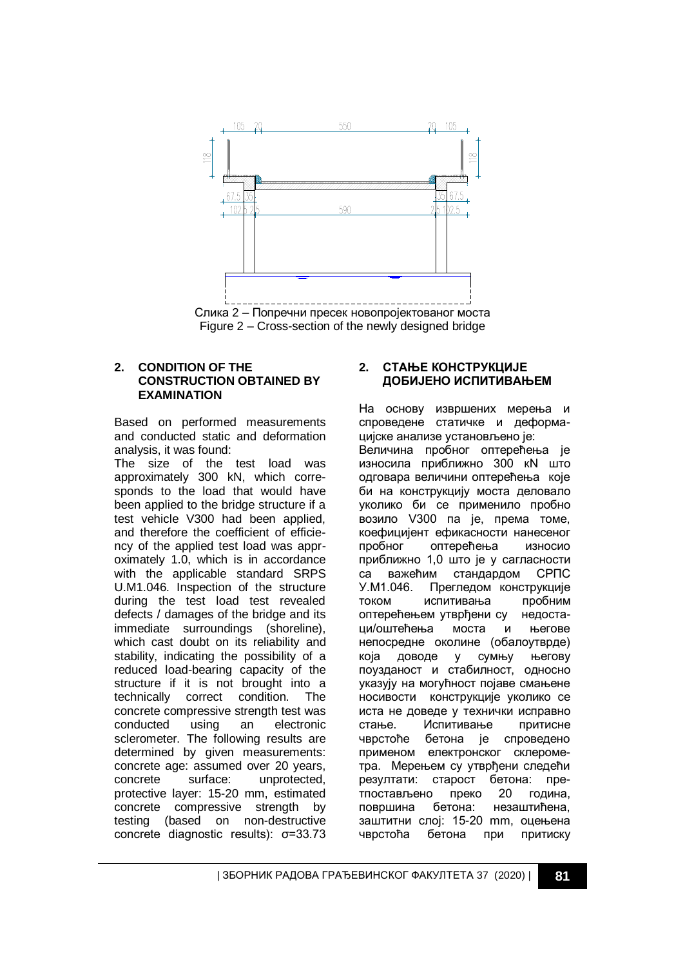

#### **2. CONDITION OF THE CONSTRUCTION OBTAINED BY EXAMINATION**

Based on performed measurements and conducted static and deformation analysis, it was found:

The size of the test load was approximately 300 kN, which corresponds to the load that would have been applied to the bridge structure if a test vehicle V300 had been applied, and therefore the coefficient of efficiency of the applied test load was approximately 1.0, which is in accordance with the applicable standard SRPS U.M1.046. Inspection of the structure during the test load test revealed defects / damages of the bridge and its immediate surroundings (shoreline), which cast doubt on its reliability and stability, indicating the possibility of a reduced load-bearing capacity of the structure if it is not brought into a technically correct condition. The concrete compressive strength test was conducted using an electronic sclerometer. The following results are determined by given measurements: concrete age: assumed over 20 years, concrete surface: unprotected, protective layer: 15-20 mm, estimated concrete compressive strength by testing (based on non-destructive concrete diagnostic results): σ=33.73

#### **2. СТАЊЕ КОНСТРУКЦИЈЕ ДОБИЈЕНО ИСПИТИВАЊЕМ**

На основу извршених мерења и спроведене статичке и деформацијске анализе установљено је: Величина пробног оптерећења је износила приближно 300 кN што одговара величини оптерећења које би на конструкцију моста деловало уколико би се применило пробно возило V300 па је, према томе, коефицијент ефикасности нанесеног пробног оптерећења износио приближно 1,0 што је у сагласности са важећим стандардом СРПС<br>У.М1.046. Прегледом конструкције Прегледом конструкције током испитивања пробним оптерећењем утврђени су недостаци/оштећења моста и његове непосредне околине (обалоутврде) која доводе у сумњу његову поузданост и стабилност, односно указују на могућност појаве смањене носивости конструкције уколико се иста не доведе у технички исправно стање. Испитивање притисне чврстоће бетона је спроведено применом електронског склерометра. Мерењем су утврђени следећи резултати: старост бетона: претпостављено преко 20 година,<br>површина бетона: незаштићена. површина бетона: незаштићена, заштитни слој: 15-20 mm, оцењена чврстоћа бетона при притиску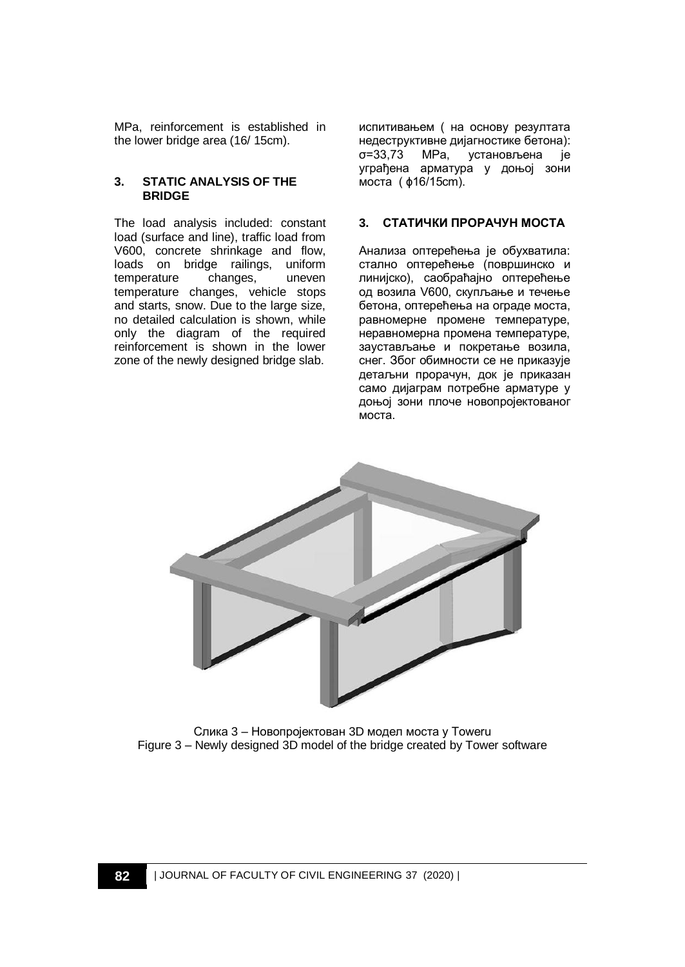MPa, reinforcement is established in the lower bridge area (16/ 15cm).

#### **3. STATIC ANALYSIS OF THE BRIDGE**

The load analysis included: constant load (surface and line), traffic load from V600, concrete shrinkage and flow, loads on bridge railings, uniform temperature changes, uneven temperature changes, vehicle stops and starts, snow. Due to the large size, no detailed calculation is shown, while only the diagram of the required reinforcement is shown in the lower zone of the newly designed bridge slab.

испитивањем ( на основу резултата недеструктивне дијагностике бетона): σ=33,73 МPа, установљена је уграђенa арматурa у доњој зони моста ( ɸ16/15cm).

#### **3. СТАТИЧКИ ПРОРАЧУН МОСТА**

Анализа оптерећења је обухватила: стално оптерећење (површинско и линијско), саобраћајно оптерећење од возила V600, скупљање и течење бетона, оптерећења на ограде моста, равномерне промене температуре, неравномерна промена температуре, заустављање и покретање возила, снег. Због обимности се не приказује детаљни прорачун, док је приказан само дијаграм потребне арматуре у доњој зони плоче новопројектованог моста.



Слика 3 – Новопројектован 3D модел моста у Toweru Figure 3 – Newly designed 3D model of the bridge created by Tower software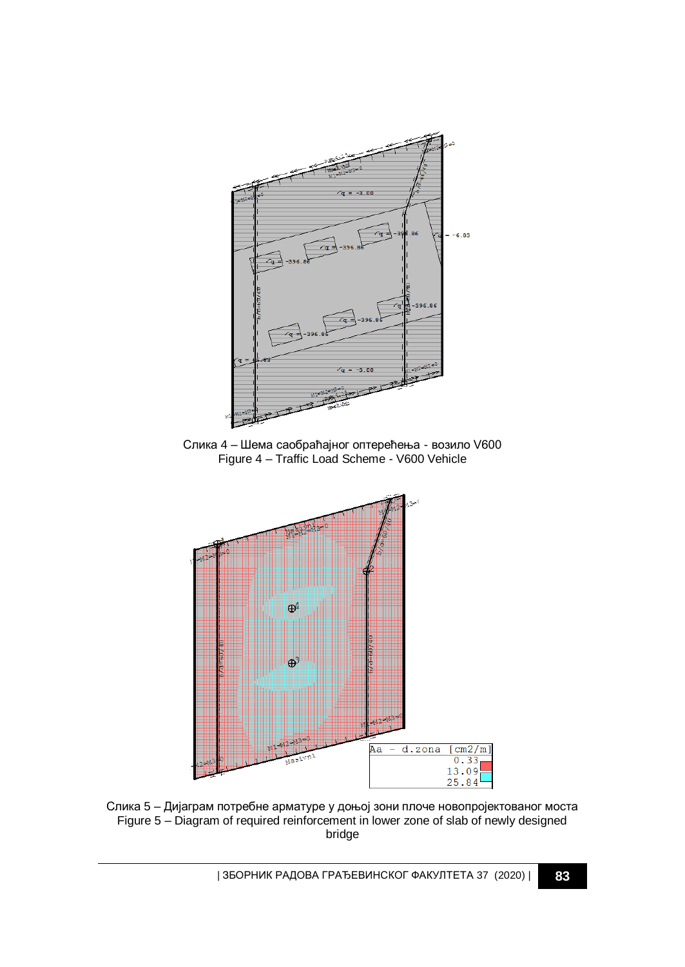

Слика 4 – Шема саобраћајног оптерећења - возило V600 Figure 4 – Traffic Load Scheme - V600 Vehicle



Слика 5 – Дијаграм потребне арматуре у доњој зони плоче новопројектованог моста Figure 5 – Diagram of required reinforcement in lower zone of slab of newly designed bridge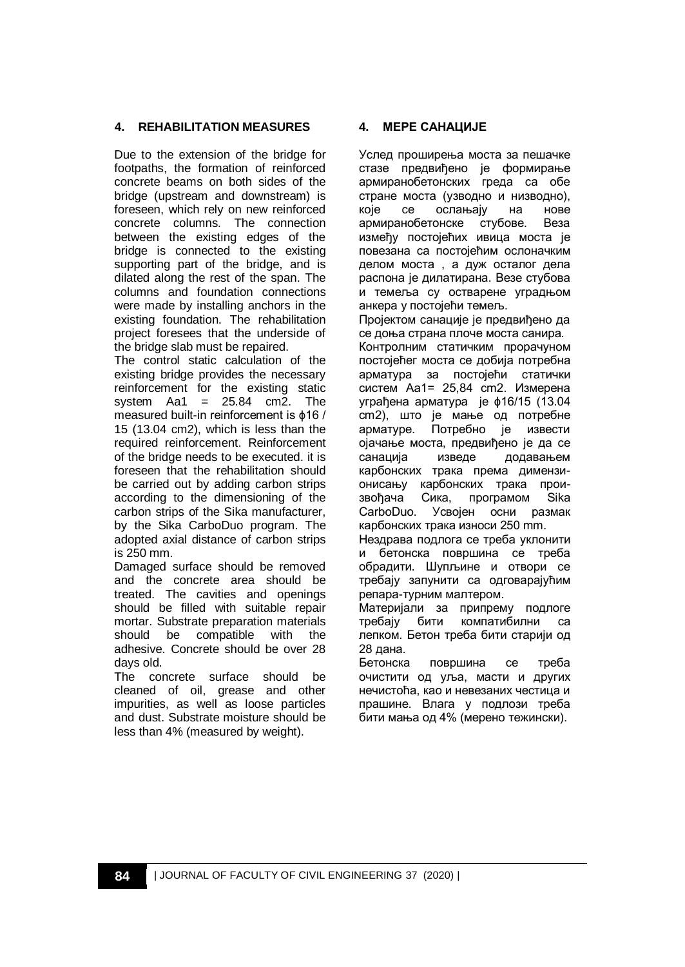## **4. REHABILITATION MEASURES**

Due to the extension of the bridge for footpaths, the formation of reinforced concrete beams on both sides of the bridge (upstream and downstream) is foreseen, which rely on new reinforced concrete columns. The connection between the existing edges of the bridge is connected to the existing supporting part of the bridge, and is dilated along the rest of the span. The columns and foundation connections were made by installing anchors in the existing foundation. The rehabilitation project foresees that the underside of the bridge slab must be repaired.

The control static calculation of the existing bridge provides the necessary reinforcement for the existing static system  $Aa1 = 25.84$  cm2. The measured built-in reinforcement is ɸ16 / 15 (13.04 cm2), which is less than the required reinforcement. Reinforcement of the bridge needs to be executed. it is foreseen that the rehabilitation should be carried out by adding carbon strips according to the dimensioning of the carbon strips of the Sika manufacturer, by the Sika CarboDuo program. The adopted axial distance of carbon strips is 250 mm.

Damaged surface should be removed and the concrete area should be treated. The cavities and openings should be filled with suitable repair mortar. Substrate preparation materials should be compatible with the adhesive. Concrete should be over 28 days old.

The concrete surface should be cleaned of oil, grease and other impurities, as well as loose particles and dust. Substrate moisture should be less than 4% (measured by weight).

#### **4. МЕРЕ САНАЦИЈЕ**

Услед проширења моста за пешачке стазе предвиђено је формирање армиранобетонских греда са обе стране моста (узводно и низводно), које се ослањају на нове армиранобетонске стубове. Веза између постојећих ивица моста је повезана са постојећим ослоначким делом моста , а дуж осталог дела распона је дилатирана. Везе стубова и темеља су остварене уградњом анкера у постојећи темељ.

Пројектом санације је предвиђено да се доња страна плоче моста санира. Контролним статичким прорачуном постојећег моста се добија потребна арматура за постојећи статички систем Aa1= 25,84 cm2. Измерена уграђена арматура је ɸ16/15 (13.04 cm2), што је мање од потребне арматуре. Потребно је извести ојачање моста, предвиђено је да се санација изведе додавањем карбонских трака према димензионисању карбонских трака произвођача Сика, програмом Sika CarboDuo. Усвојен осни размак карбонских трака износи 250 mm.

Нездрава подлога се треба уклонити и бетонска површина се треба обрадити. Шупљине и отвори се требају запунити са одговарајућим репара-турним малтером.

Материјали за припрему подлоге требају бити компатибилни са лепком. Бетон треба бити старији од 28 дана.

Бетонска површина се треба очистити од уља, масти и других нечистоћа, као и невезаних честица и прашине. Влага у подлози треба бити мања од 4% (мерено тежински).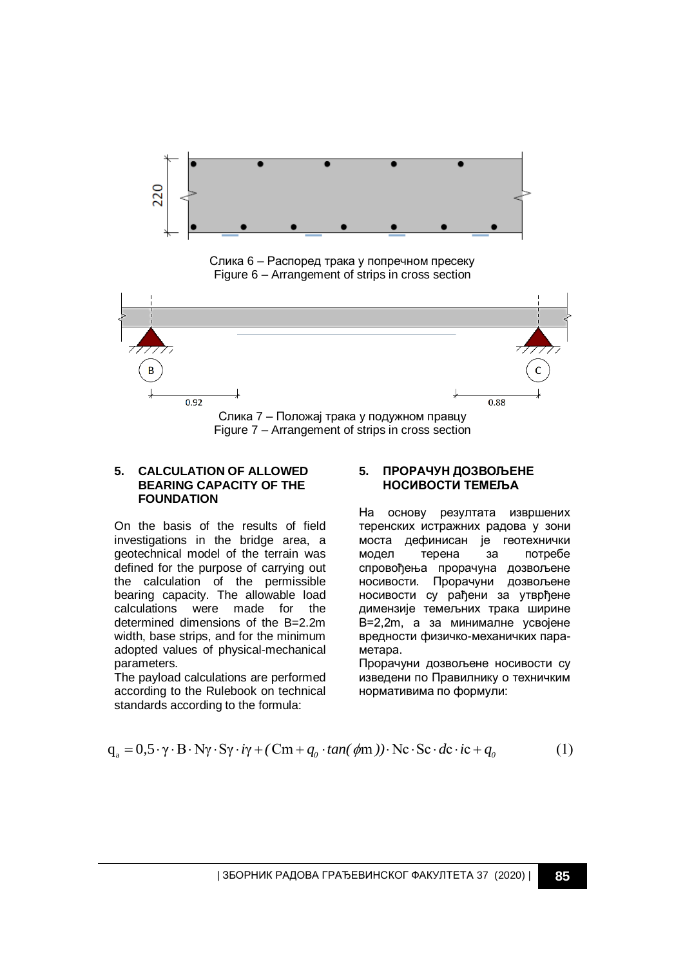

Слика 6 – Распоред трака у попречном пресеку Figure 6 – Arrangement of strips in cross section



#### **5. CALCULATION OF ALLOWED BEARING CAPACITY OF THE FOUNDATION**

On the basis of the results of field investigations in the bridge area, a geotechnical model of the terrain was defined for the purpose of carrying out the calculation of the permissible bearing capacity. The allowable load calculations were made for the determined dimensions of the B=2.2m width, base strips, and for the minimum adopted values of physical-mechanical parameters.

The payload calculations are performed according to the Rulebook on technical standards according to the formula:

#### **5. ПРОРАЧУН ДОЗВОЉЕНЕ НОСИВОСТИ ТЕМЕЉА**

На основу резултата извршених теренских истражних радова у зони моста дефинисан је геотехнички модел терена за потребе спровођења прорачуна дозвољене носивости. Прорачуни дозвољене носивости су рађени за утврђене димензије темељних трака ширине B=2,2m, а за минималне усвојене вредности физичко-механичких параметара.

Прорачуни дозвољене носивости су изведени по Правилнику о техничким нормативима по формули:

standards according to the formula:  
\n
$$
q_a = 0.5 \cdot \gamma \cdot B \cdot N\gamma \cdot S\gamma \cdot i\gamma + (Cm + q_0 \cdot \tan(\phi m)) \cdot Nc \cdot Sc \cdot dc \cdot ic + q_0
$$
\n(1)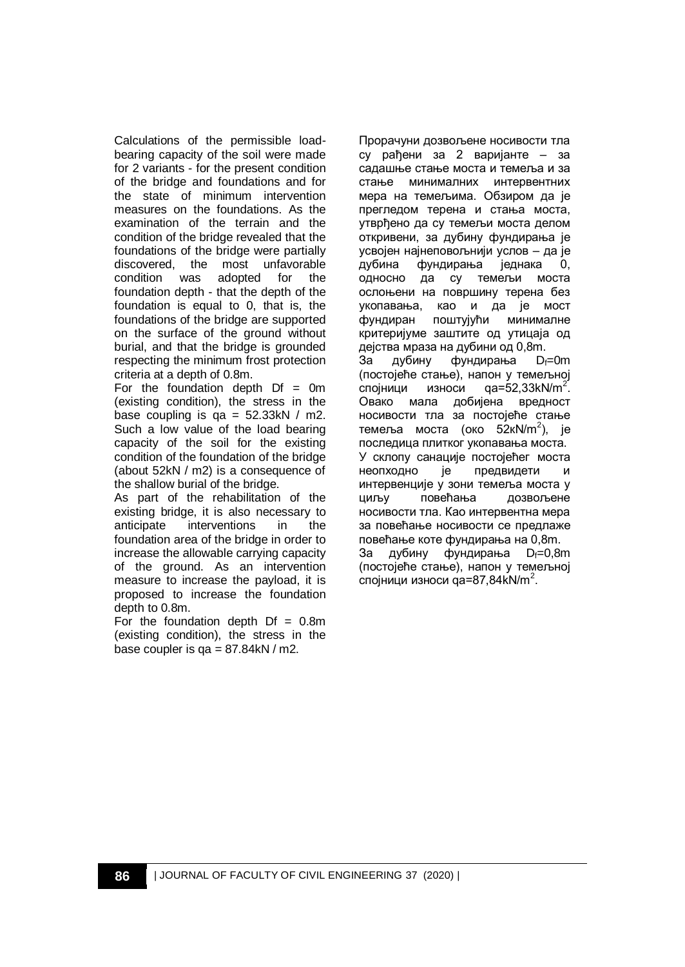Calculations of the permissible loadbearing capacity of the soil were made for 2 variants - for the present condition of the bridge and foundations and for the state of minimum intervention measures on the foundations. As the examination of the terrain and the condition of the bridge revealed that the foundations of the bridge were partially discovered, the most unfavorable<br>condition was adopted for the condition was adopted for the foundation depth - that the depth of the foundation is equal to 0, that is, the foundations of the bridge are supported on the surface of the ground without burial, and that the bridge is grounded respecting the minimum frost protection criteria at a depth of 0.8m.

For the foundation depth  $Df = 0m$ (existing condition), the stress in the base coupling is  $qa = 52.33kN / m2$ . Such a low value of the load bearing capacity of the soil for the existing condition of the foundation of the bridge (about 52kN / m2) is a consequence of the shallow burial of the bridge.

As part of the rehabilitation of the existing bridge, it is also necessary to anticipate interventions in the foundation area of the bridge in order to increase the allowable carrying capacity of the ground. As an intervention measure to increase the payload, it is proposed to increase the foundation depth to 0.8m.

For the foundation depth  $Df = 0.8$ m (existing condition), the stress in the base coupler is  $qa = 87.84kN/m2$ .

Прорачуни дозвољене носивости тла су рађени за 2 варијанте – за садашње стање моста и темеља и за стање минималних интервентних мера на темељима. Обзиром да је прегледом терена и стања моста, утврђено да су темељи моста делом откривени, за дубину фундирања је усвојен најнеповољнији услов – да је дубина фундирања једнака 0, односно да су темељи моста ослоњени на површину терена без укопавања, као и да је мост фундиран поштујући минималне критеријуме заштите од утицаја од дејства мраза на дубини од 0,8m. За дубину фундирања D<sub>f</sub>=0m (постојеће стање), напон у темељној<br>спојници и износи да=52.33kN/m<sup>2</sup>. спојници износи qa=52,33kN/m<sup>2'</sup>. Овако мала добијена вредност носивости тла за постојеће стање темеља моста (око 52кN/m<sup>2</sup>), је последица плитког укопавања моста. У склопу санације постојећег моста неопходно је предвидети и интервенције у зони темеља моста у циљу повећања дозвољене носивости тла. Као интервентна мера за повећање носивости се предлаже повећање коте фундирања на 0,8m. За дубину фундирања D<sub>f</sub>=0,8m (постојеће стање), напон у темељној спојници износи qa=87,84kN/m<sup>2</sup>.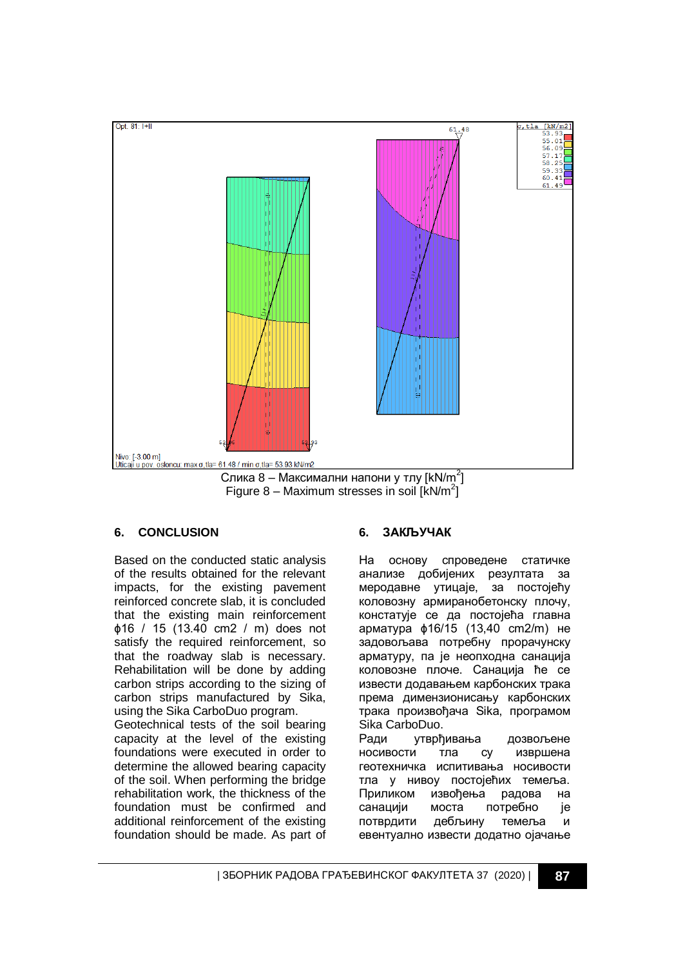

Figure 8 - Maximum stresses in soil  $[kN/m^2]$ 

## **6. CONCLUSION**

Based on the conducted static analysis of the results obtained for the relevant impacts, for the existing pavement reinforced concrete slab, it is concluded that the existing main reinforcement ɸ16 / 15 (13.40 cm2 / m) does not satisfy the required reinforcement, so that the roadway slab is necessary. Rehabilitation will be done by adding carbon strips according to the sizing of carbon strips manufactured by Sika, using the Sika CarboDuo program. Geotechnical tests of the soil bearing

capacity at the level of the existing foundations were executed in order to determine the allowed bearing capacity of the soil. When performing the bridge rehabilitation work, the thickness of the foundation must be confirmed and additional reinforcement of the existing foundation should be made. As part of

## **6. ЗАКЉУЧАК**

На основу спроведене статичке анализе добијених резултата за меродавне утицаје, за постојећу коловозну армиранобетонску плочу, констатује се да постојећа главна арматура ɸ16/15 (13,40 cm2/m) не задовољава потребну прорачунску арматуру, па је неопходна санација коловозне плоче. Санација ће се извести додавањем карбонских трака према димензионисању карбонских трака произвођача Sika, програмом Sika CarboDuo.

Ради утврђивања дозвољене носивости тла су извршена геотехничка испитивања носивости тла у нивоу постојећих темеља. Приликом извођења радова на санацији моста потребно је потврдити дебљину темеља и евентуално извести додатно ојачање